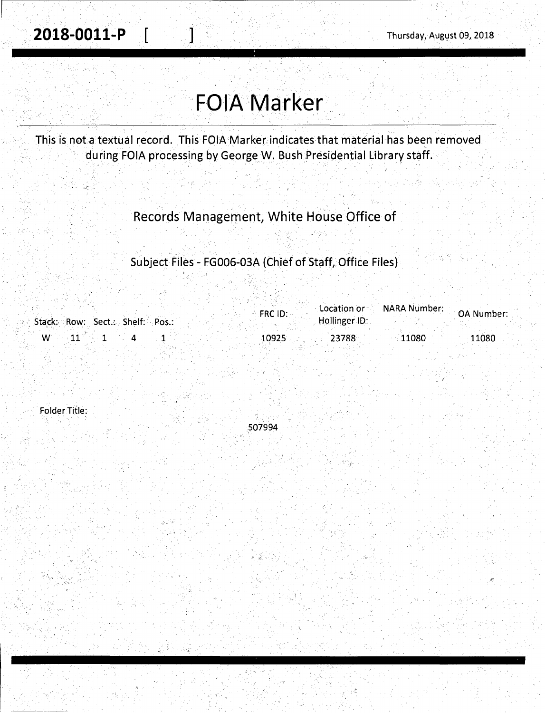## **FOIA Marker**

This is nota textual record. This FOIA Marker.indicates that material has been removed during FOIA processing by George W. Bush Presidential Library staff.

#### . . . Records Management, White House Office of

### Subject Files - FG006-03A (Chief of Staff, Office Files)

|                                 | $\Delta$ Location or $\sim$<br>FRC ID: | <b>NARA Number:</b><br>OA Number: |
|---------------------------------|----------------------------------------|-----------------------------------|
| Stack: Row: Sect.: Shelf: Pos.: | Hollinger ID:                          |                                   |
| W                               | 10925<br>23788                         | 11080<br>11080                    |

Folder Title:

507994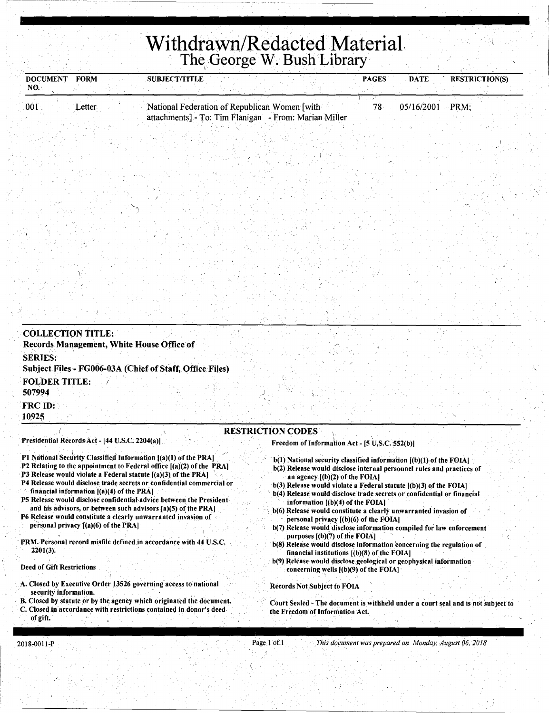# Withdrawn/Redacted Material<br>The George W. Bush Library

| <b>DOCUMENT</b><br><b>FORM</b> | <b>SUBJECT/TITLE</b>                                  | <b>PAGES</b> | <b>DATE</b> | <b>RESTRICTION(S)</b> |
|--------------------------------|-------------------------------------------------------|--------------|-------------|-----------------------|
| NO.                            |                                                       |              |             |                       |
| 001<br>Letter :                | National Federation of Republican Women [with]        |              | 05/16/2001  | PRM:                  |
|                                | attachments] - To: Tim Flanigan - From: Marian Miller |              |             |                       |

| Records Management, White House Office of<br><b>SERIES:</b><br>Subject Files - FG006-03A (Chief of Staff, Office Files)<br><b>FOLDER TITLE:</b><br>507994<br>FRC ID:<br>10925<br><b>RESTRICTION CODES</b> | <b>COLLECTION TITLE:</b>                       |  |  |  |  |
|-----------------------------------------------------------------------------------------------------------------------------------------------------------------------------------------------------------|------------------------------------------------|--|--|--|--|
|                                                                                                                                                                                                           |                                                |  |  |  |  |
|                                                                                                                                                                                                           |                                                |  |  |  |  |
|                                                                                                                                                                                                           |                                                |  |  |  |  |
|                                                                                                                                                                                                           |                                                |  |  |  |  |
| Freedom of Information Act - [5 U.S.C. 552(b)]                                                                                                                                                            | Presidential Records Act - [44 U.S.C. 2204(a)] |  |  |  |  |

- 
- P2 Relating to the appointment to Federal office [(a)(2) of the PRA]
- P3 Release would violate a Federal statute [(a)(3) of the PRA]
- P4 Release would disclose trade secrets or confidential commercial or financial information  $[(a)(4)$  of the PRA]
- P5 Release would disclose confidential advice between the President and his advisors, or between such advisors [a)(5) of the PRA]
- P6 Release would constitute a clearly unwarranted invasion of personal privacy [(a)(6) of the PRA]
- PRM. Personal record misfile defined in accordance with 44 U.S.C.  $2201(3)$ .
- **Deed of Gift Restrictions**
- A. Closed by Executive Order 13526 governing access to national security information.
- B. Closed by statute or by the agency which originated the document. . Closed in accordance with restrictions contained in donor's deed  $\mathbf C$ of gift.
- b(2) Release would disclose internal personnel rules and practices of an agency  $[(b)(2)$  of the FOIA]
- b(3) Release would violate a Federal statute [(b)(3) of the FOIA]
- b(4) Release would disclose trade secrets or confidential or financial information [(b)(4) of the FOIA]
- b(6) Release would constitute a clearly unwarranted invasion of personal privacy [(b)(6) of the FOIA]
- b(7) Release would disclose information compiled for law enforcement purposes  $[(b)(7)$  of the FOIA]
- b(8) Release would disclose information concerning the regulation of financial institutions [(b)(8) of the FOIA]
- b(9) Release would disclose geological or geophysical information concerning wells [(b)(9) of the FOIA]

**Records Not Subject to FOIA** 

Court Sealed - The document is withheld under a court seal and is not subject to the Freedom of Information Act.

This document was prepared on Monday, August 06, 2018